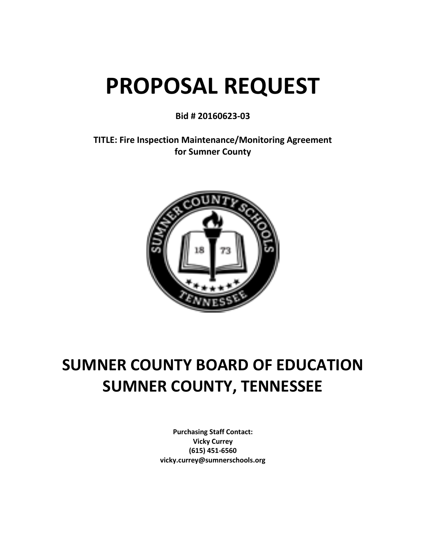# **PROPOSAL REQUEST**

**Bid # 20160623-03**

**TITLE: Fire Inspection Maintenance/Monitoring Agreement for Sumner County**



# **SUMNER COUNTY BOARD OF EDUCATION SUMNER COUNTY, TENNESSEE**

**Purchasing Staff Contact: Vicky Currey (615) 451-6560 vicky.currey@sumnerschools.org**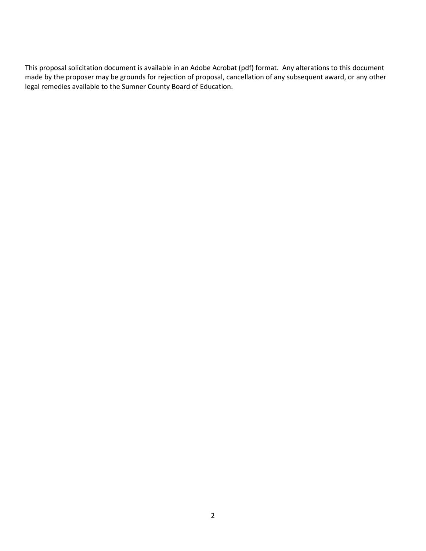This proposal solicitation document is available in an Adobe Acrobat (pdf) format. Any alterations to this document made by the proposer may be grounds for rejection of proposal, cancellation of any subsequent award, or any other legal remedies available to the Sumner County Board of Education.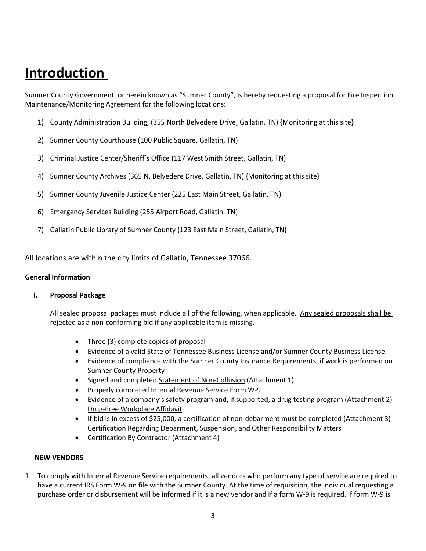# **Introduction**

Sumner County Government, or herein known as "Sumner County", is hereby requesting a proposal for Fire Inspection Maintenance/Monitoring Agreement for the following locations:

- 1) County Administration Building, (355 North Belvedere Drive, Gallatin, TN) {Monitoring at this site}
- 2) Sumner County Courthouse (100 Public Square, Gallatin, TN)
- 3) Criminal Justice Center/Sheriff's Office (117 West Smith Street, Gallatin, TN)
- 4) Sumner County Archives (365 N. Belvedere Drive, Gallatin, TN) {Monitoring at this site}
- 5) Sumner County Juvenile Justice Center (225 East Main Street, Gallatin, TN)
- 6) Emergency Services Building (255 Airport Road, Gallatin, TN)
- 7) Gallatin Public Library of Sumner County (123 East Main Street, Gallatin, TN)

All locations are within the city limits of Gallatin, Tennessee 37066.

#### **General Information**

#### **I. Proposal Package**

All sealed proposal packages must include all of the following, when applicable. Any sealed proposals shall be rejected as a non-conforming bid if any applicable item is missing.

- Three (3) complete copies of proposal
- Evidence of a valid State of Tennessee Business License and/or Sumner County Business License
- Evidence of compliance with the Sumner County Insurance Requirements, if work is performed on Sumner County Property
- Signed and completed Statement of Non-Collusion (Attachment 1)
- Properly completed Internal Revenue Service Form W-9
- Evidence of a company's safety program and, if supported, a drug testing program (Attachment 2) Drug-Free Workplace Affidavit
- If bid is in excess of \$25,000, a certification of non-debarment must be completed (Attachment 3) Certification Regarding Debarment, Suspension, and Other Responsibility Matters
- Certification By Contractor (Attachment 4)

#### **NEW VENDORS**

1. To comply with Internal Revenue Service requirements, all vendors who perform any type of service are required to have a current IRS Form W-9 on file with the Sumner County. At the time of requisition, the individual requesting a purchase order or disbursement will be informed if it is a new vendor and if a form W-9 is required. If form W-9 is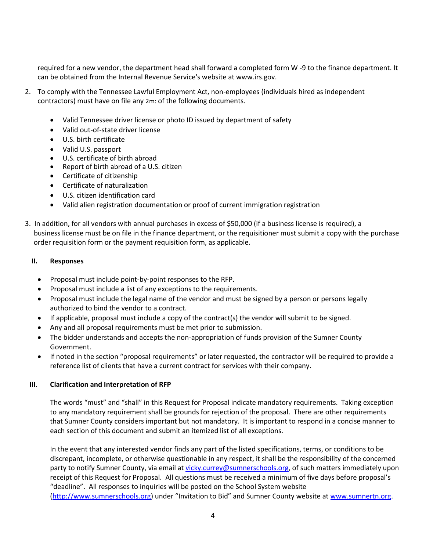required for a new vendor, the department head shall forward a completed form W -9 to the finance department. It can be obtained from the Internal Revenue Service's website at www.irs.gov.

- 2. To comply with the Tennessee Lawful Employment Act, non-employees (individuals hired as independent contractors) must have on file any 2m: of the following documents.
	- Valid Tennessee driver license or photo ID issued by department of safety
	- Valid out-of-state driver license
	- U.S. birth certificate
	- Valid U.S. passport
	- U.S. certificate of birth abroad
	- Report of birth abroad of a U.S. citizen
	- Certificate of citizenship
	- Certificate of naturalization
	- U.S. citizen identification card
	- Valid alien registration documentation or proof of current immigration registration
- 3. In addition, for all vendors with annual purchases in excess of \$50,000 (if a business license is required), a business license must be on file in the finance department, or the requisitioner must submit a copy with the purchase order requisition form or the payment requisition form, as applicable.

#### **II. Responses**

- Proposal must include point-by-point responses to the RFP.
- Proposal must include a list of any exceptions to the requirements.
- Proposal must include the legal name of the vendor and must be signed by a person or persons legally authorized to bind the vendor to a contract.
- If applicable, proposal must include a copy of the contract(s) the vendor will submit to be signed.
- Any and all proposal requirements must be met prior to submission.
- The bidder understands and accepts the non-appropriation of funds provision of the Sumner County Government.
- If noted in the section "proposal requirements" or later requested, the contractor will be required to provide a reference list of clients that have a current contract for services with their company.

#### **III. Clarification and Interpretation of RFP**

The words "must" and "shall" in this Request for Proposal indicate mandatory requirements. Taking exception to any mandatory requirement shall be grounds for rejection of the proposal. There are other requirements that Sumner County considers important but not mandatory. It is important to respond in a concise manner to each section of this document and submit an itemized list of all exceptions.

In the event that any interested vendor finds any part of the listed specifications, terms, or conditions to be discrepant, incomplete, or otherwise questionable in any respect, it shall be the responsibility of the concerned party to notify Sumner County, via email at [vicky.currey@sumnerschools.org,](file://///scs/ssf-shares/Applications/Chris%20H/BIDS/F%20O%20R%20M%20S/vicky.currey@sumnerschools.org) of such matters immediately upon receipt of this Request for Proposal. All questions must be received a minimum of five days before proposal's "deadline". All responses to inquiries will be posted on the School System website [\(http://www.sumnerschools.org\)](http://www.sumnerschools.org/) under "Invitation to Bid" and Sumner County website at [www.sumnertn.org.](file://///scs/ssf-shares/Applications/Chris%20H/BIDS/F%20O%20R%20M%20S/www.sumnertn.org)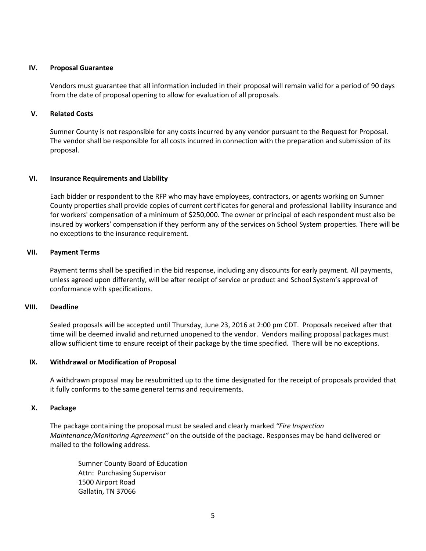#### **IV. Proposal Guarantee**

Vendors must guarantee that all information included in their proposal will remain valid for a period of 90 days from the date of proposal opening to allow for evaluation of all proposals.

#### **V. Related Costs**

Sumner County is not responsible for any costs incurred by any vendor pursuant to the Request for Proposal. The vendor shall be responsible for all costs incurred in connection with the preparation and submission of its proposal.

#### **VI. Insurance Requirements and Liability**

Each bidder or respondent to the RFP who may have employees, contractors, or agents working on Sumner County properties shall provide copies of current certificates for general and professional liability insurance and for workers' compensation of a minimum of [\\$250,000. T](http://250,000.00)he owner or principal of each respondent must also be insured by workers' compensation if they perform any of the services on School System properties. There will be no exceptions to the insurance requirement.

#### **VII. Payment Terms**

Payment terms shall be specified in the bid response, including any discounts for early payment. All payments, unless agreed upon differently, will be after receipt of service or product and School System's approval of conformance with specifications.

#### **VIII. Deadline**

Sealed proposals will be accepted until Thursday, June 23, 2016 at 2:00 pm CDT. Proposals received after that time will be deemed invalid and returned unopened to the vendor. Vendors mailing proposal packages must allow sufficient time to ensure receipt of their package by the time specified. There will be no exceptions.

#### **IX. Withdrawal or Modification of Proposal**

A withdrawn proposal may be resubmitted up to the time designated for the receipt of proposals provided that it fully conforms to the same general terms and requirements.

#### **X. Package**

The package containing the proposal must be sealed and clearly marked *"Fire Inspection Maintenance/Monitoring Agreement"* on the outside of the package. Responses may be hand delivered or mailed to the following address.

Sumner County Board of Education Attn: Purchasing Supervisor 1500 Airport Road Gallatin, TN 37066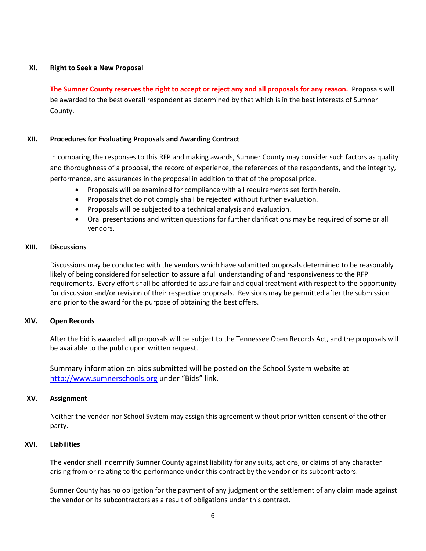#### **XI. Right to Seek a New Proposal**

**The Sumner County reserves the right to accept or reject any and all proposals for any reason.** Proposals will be awarded to the best overall respondent as determined by that which is in the best interests of Sumner County.

#### **XII. Procedures for Evaluating Proposals and Awarding Contract**

In comparing the responses to this RFP and making awards, Sumner County may consider such factors as quality and thoroughness of a proposal, the record of experience, the references of the respondents, and the integrity, performance, and assurances in the proposal in addition to that of the proposal price.

- Proposals will be examined for compliance with all requirements set forth herein.
- Proposals that do not comply shall be rejected without further evaluation.
- Proposals will be subjected to a technical analysis and evaluation.
- Oral presentations and written questions for further clarifications may be required of some or all vendors.

#### **XIII. Discussions**

Discussions may be conducted with the vendors which have submitted proposals determined to be reasonably likely of being considered for selection to assure a full understanding of and responsiveness to the RFP requirements. Every effort shall be afforded to assure fair and equal treatment with respect to the opportunity for discussion and/or revision of their respective proposals. Revisions may be permitted after the submission and prior to the award for the purpose of obtaining the best offers.

#### **XIV. Open Records**

After the bid is awarded, all proposals will be subject to the Tennessee Open Records Act, and the proposals will be available to the public upon written request.

Summary information on bids submitted will be posted on the School System website at [http://www.sumnerschools.org](http://www.sumnerschools.org/) under "Bids" link.

#### **XV. Assignment**

Neither the vendor nor School System may assign this agreement without prior written consent of the other party.

#### **XVI. Liabilities**

The vendor shall indemnify Sumner County against liability for any suits, actions, or claims of any character arising from or relating to the performance under this contract by the vendor or its subcontractors.

Sumner County has no obligation for the payment of any judgment or the settlement of any claim made against the vendor or its subcontractors as a result of obligations under this contract.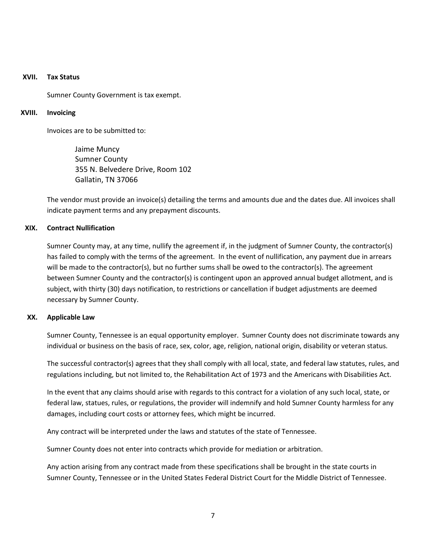#### **XVII. Tax Status**

Sumner County Government is tax exempt.

#### **XVIII. Invoicing**

Invoices are to be submitted to:

Jaime Muncy Sumner County 355 N. Belvedere Drive, Room 102 Gallatin, TN 37066

The vendor must provide an invoice(s) detailing the terms and amounts due and the dates due. All invoices shall indicate payment terms and any prepayment discounts.

#### **XIX. Contract Nullification**

Sumner County may, at any time, nullify the agreement if, in the judgment of Sumner County, the contractor(s) has failed to comply with the terms of the agreement. In the event of nullification, any payment due in arrears will be made to the contractor(s), but no further sums shall be owed to the contractor(s). The agreement between Sumner County and the contractor(s) is contingent upon an approved annual budget allotment, and is subject, with thirty (30) days notification, to restrictions or cancellation if budget adjustments are deemed necessary by Sumner County.

#### **XX. Applicable Law**

Sumner County, Tennessee is an equal opportunity employer. Sumner County does not discriminate towards any individual or business on the basis of race, sex, color, age, religion, national origin, disability or veteran status.

The successful contractor(s) agrees that they shall comply with all local, state, and federal law statutes, rules, and regulations including, but not limited to, the Rehabilitation Act of 1973 and the Americans with Disabilities Act.

In the event that any claims should arise with regards to this contract for a violation of any such local, state, or federal law, statues, rules, or regulations, the provider will indemnify and hold Sumner County harmless for any damages, including court costs or attorney fees, which might be incurred.

Any contract will be interpreted under the laws and statutes of the state of Tennessee.

Sumner County does not enter into contracts which provide for mediation or arbitration.

Any action arising from any contract made from these specifications shall be brought in the state courts in Sumner County, Tennessee or in the United States Federal District Court for the Middle District of Tennessee.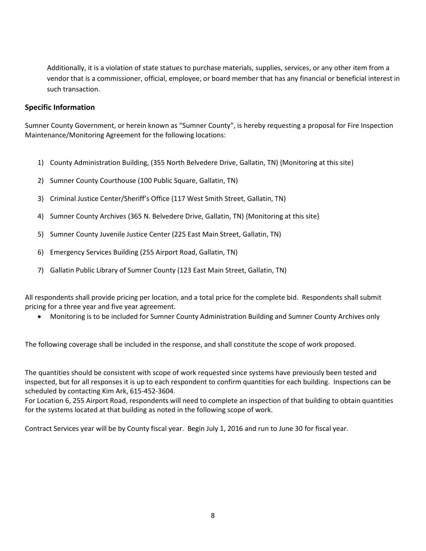Additionally, it is a violation of state statues to purchase materials, supplies, services, or any other item from a vendor that is a commissioner, official, employee, or board member that has any financial or beneficial interest in such transaction.

#### **Specific Information**

Sumner County Government, or herein known as "Sumner County", is hereby requesting a proposal for Fire Inspection Maintenance/Monitoring Agreement for the following locations:

- 1) County Administration Building, (355 North Belvedere Drive, Gallatin, TN) {Monitoring at this site}
- 2) Sumner County Courthouse (100 Public Square, Gallatin, TN)
- 3) Criminal Justice Center/Sheriff's Office (117 West Smith Street, Gallatin, TN)
- 4) Sumner County Archives (365 N. Belvedere Drive, Gallatin, TN) {Monitoring at this site}
- 5) Sumner County Juvenile Justice Center (225 East Main Street, Gallatin, TN)
- 6) Emergency Services Building (255 Airport Road, Gallatin, TN)
- 7) Gallatin Public Library of Sumner County (123 East Main Street, Gallatin, TN)

All respondents shall provide pricing per location, and a total price for the complete bid. Respondents shall submit pricing for a three year and five year agreement.

Monitoring is to be included for Sumner County Administration Building and Sumner County Archives only

The following coverage shall be included in the response, and shall constitute the scope of work proposed.

The quantities should be consistent with scope of work requested since systems have previously been tested and inspected, but for all responses it is up to each respondent to confirm quantities for each building. Inspections can be scheduled by contacting Kim Ark, 615-452-3604.

For Location 6, 255 Airport Road, respondents will need to complete an inspection of that building to obtain quantities for the systems located at that building as noted in the following scope of work.

Contract Services year will be by County fiscal year. Begin July 1, 2016 and run to June 30 for fiscal year.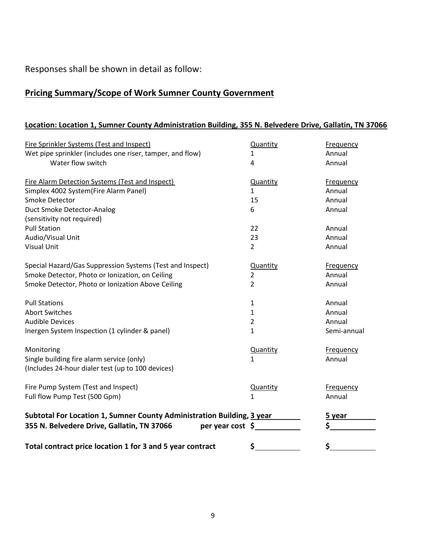Responses shall be shown in detail as follow:

# **Pricing Summary/Scope of Work Sumner County Government**

# **Location: Location 1, Sumner County Administration Building, 355 N. Belvedere Drive, Gallatin, TN 37066**

| <b>Fire Sprinkler Systems (Test and Inspect)</b>                       | Quantity       | Frequency   |
|------------------------------------------------------------------------|----------------|-------------|
| Wet pipe sprinkler (includes one riser, tamper, and flow)              | 1              | Annual      |
| Water flow switch                                                      | 4              | Annual      |
| Fire Alarm Detection Systems (Test and Inspect)                        | Quantity       | Frequency   |
| Simplex 4002 System(Fire Alarm Panel)                                  | $\mathbf{1}$   | Annual      |
| <b>Smoke Detector</b>                                                  | 15             | Annual      |
| Duct Smoke Detector-Analog                                             | 6              | Annual      |
| (sensitivity not required)                                             |                |             |
| <b>Pull Station</b>                                                    | 22             | Annual      |
| Audio/Visual Unit                                                      | 23             | Annual      |
| <b>Visual Unit</b>                                                     | $\overline{2}$ | Annual      |
| Special Hazard/Gas Suppression Systems (Test and Inspect)              | Quantity       | Frequency   |
| Smoke Detector, Photo or Ionization, on Ceiling                        | $\overline{2}$ | Annual      |
| Smoke Detector, Photo or Ionization Above Ceiling                      | $\overline{2}$ | Annual      |
| <b>Pull Stations</b>                                                   | $\mathbf{1}$   | Annual      |
| <b>Abort Switches</b>                                                  | $\mathbf{1}$   | Annual      |
| <b>Audible Devices</b>                                                 | 2              | Annual      |
| Inergen System Inspection (1 cylinder & panel)                         | 1              | Semi-annual |
| Monitoring                                                             | Quantity       | Frequency   |
| Single building fire alarm service (only)                              | $\mathbf{1}$   | Annual      |
| (Includes 24-hour dialer test (up to 100 devices)                      |                |             |
| Fire Pump System (Test and Inspect)                                    | Quantity       | Frequency   |
| Full flow Pump Test (500 Gpm)                                          | 1              | Annual      |
| Subtotal For Location 1, Sumner County Administration Building, 3 year |                | 5 year      |
| 355 N. Belvedere Drive, Gallatin, TN 37066<br>per year cost \$         |                | \$          |
| Total contract price location 1 for 3 and 5 year contract              | \$.            | \$          |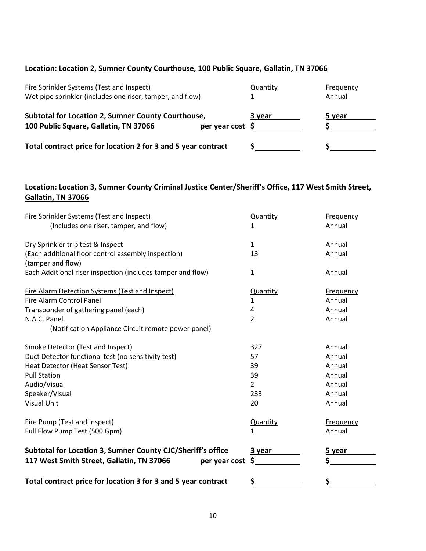### **Location: Location 2, Sumner County Courthouse, 100 Public Square, Gallatin, TN 37066**

| Fire Sprinkler Systems (Test and Inspect)<br>Wet pipe sprinkler (includes one riser, tamper, and flow)                      | Quantity | Frequency<br>Annual |
|-----------------------------------------------------------------------------------------------------------------------------|----------|---------------------|
| <b>Subtotal for Location 2, Sumner County Courthouse,</b><br>100 Public Square, Gallatin, TN 37066<br>per year cost $\oint$ | 3 year   | 5 year              |
| Total contract price for location 2 for 3 and 5 year contract                                                               |          |                     |

## **Location: Location 3, Sumner County Criminal Justice Center/Sheriff's Office, 117 West Smith Street, Gallatin, TN 37066**

| Total contract price for location 3 for 3 and 5 year contract | \$              |                  |
|---------------------------------------------------------------|-----------------|------------------|
| 117 West Smith Street, Gallatin, TN 37066<br>per year cost    | \$              | \$               |
| Subtotal for Location 3, Sumner County CJC/Sheriff's office   | 3 year          | 5 year           |
| Full Flow Pump Test (500 Gpm)                                 | $\mathbf{1}$    | Annual           |
| Fire Pump (Test and Inspect)                                  | <b>Quantity</b> | <b>Frequency</b> |
|                                                               |                 |                  |
| <b>Visual Unit</b>                                            | 20              | Annual           |
| Speaker/Visual                                                | 233             | Annual           |
| Audio/Visual                                                  | $\overline{2}$  | Annual           |
| Heat Detector (Heat Sensor Test)<br><b>Pull Station</b>       | 39              | Annual<br>Annual |
| Duct Detector functional test (no sensitivity test)           | 57<br>39        | Annual           |
| Smoke Detector (Test and Inspect)                             | 327             | Annual           |
|                                                               |                 |                  |
| (Notification Appliance Circuit remote power panel)           |                 |                  |
| N.A.C. Panel                                                  | $\overline{2}$  | Annual           |
| Transponder of gathering panel (each)                         | 4               | Annual           |
| <b>Fire Alarm Control Panel</b>                               | 1               | Annual           |
| <b>Fire Alarm Detection Systems (Test and Inspect)</b>        | Quantity        | Frequency        |
| Each Additional riser inspection (includes tamper and flow)   | $\mathbf{1}$    | Annual           |
| (tamper and flow)                                             |                 |                  |
| (Each additional floor control assembly inspection)           | 13              | Annual           |
| Dry Sprinkler trip test & Inspect                             | $\mathbf{1}$    | Annual           |
| (Includes one riser, tamper, and flow)                        | 1               | Annual           |
| <b>Fire Sprinkler Systems (Test and Inspect)</b>              | Quantity        | Frequency        |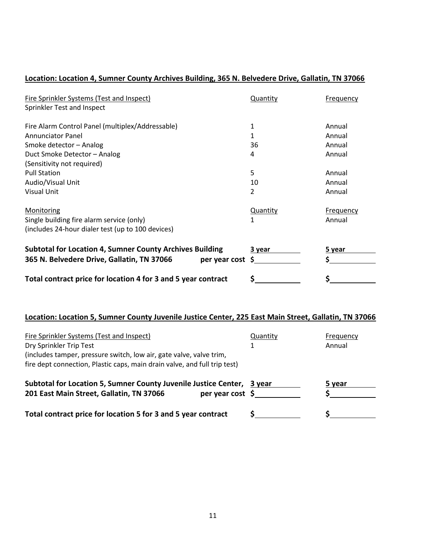# **Location: Location 4, Sumner County Archives Building, 365 N. Belvedere Drive, Gallatin, TN 37066**

| <b>Fire Sprinkler Systems (Test and Inspect)</b>                | Quantity | <b>Frequency</b> |
|-----------------------------------------------------------------|----------|------------------|
| Sprinkler Test and Inspect                                      |          |                  |
|                                                                 |          |                  |
| Fire Alarm Control Panel (multiplex/Addressable)                | 1        | Annual           |
| <b>Annunciator Panel</b>                                        | 1        | Annual           |
| Smoke detector - Analog                                         | 36       | Annual           |
| Duct Smoke Detector - Analog                                    | 4        | Annual           |
| (Sensitivity not required)                                      |          |                  |
| <b>Pull Station</b>                                             | 5        | Annual           |
| Audio/Visual Unit                                               | 10       | Annual           |
| <b>Visual Unit</b>                                              | 2        | Annual           |
| Monitoring                                                      | Quantity | <b>Frequency</b> |
| Single building fire alarm service (only)                       | 1        | Annual           |
| (includes 24-hour dialer test (up to 100 devices)               |          |                  |
| <b>Subtotal for Location 4, Sumner County Archives Building</b> | 3 year   | 5 year           |
| 365 N. Belvedere Drive, Gallatin, TN 37066<br>per year cost     | S        |                  |
| Total contract price for location 4 for 3 and 5 year contract   | \$       | \$               |

### **Location: Location 5, Sumner County Juvenile Justice Center, 225 East Main Street, Gallatin, TN 37066**

| Fire Sprinkler Systems (Test and Inspect)<br>Dry Sprinkler Trip Test<br>(includes tamper, pressure switch, low air, gate valve, valve trim,<br>fire dept connection, Plastic caps, main drain valve, and full trip test) | Quantity | Frequency<br>Annual |
|--------------------------------------------------------------------------------------------------------------------------------------------------------------------------------------------------------------------------|----------|---------------------|
| Subtotal for Location 5, Sumner County Juvenile Justice Center,<br>per year cost $\zeta$<br>201 East Main Street, Gallatin, TN 37066                                                                                     | 3 vear   | 5 year              |
| Total contract price for location 5 for 3 and 5 year contract                                                                                                                                                            |          |                     |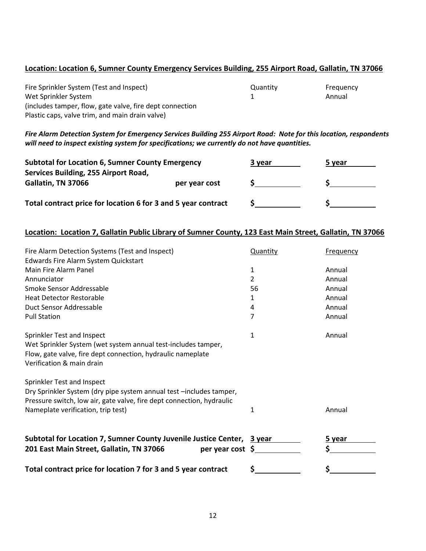#### **Location: Location 6, Sumner County Emergency Services Building, 255 Airport Road, Gallatin, TN 37066**

| Fire Sprinkler System (Test and Inspect)                 | Quantity | Frequency |
|----------------------------------------------------------|----------|-----------|
| Wet Sprinkler System                                     |          | Annual    |
| (includes tamper, flow, gate valve, fire dept connection |          |           |
| Plastic caps, valve trim, and main drain valve)          |          |           |

*Fire Alarm Detection System for Emergency Services Building 255 Airport Road: Note for this location, respondents will need to inspect existing system for specifications; we currently do not have quantities.*

| <b>Subtotal for Location 6, Sumner County Emergency</b>       |               | 3 year | 5 year |
|---------------------------------------------------------------|---------------|--------|--------|
| Services Building, 255 Airport Road,                          |               |        |        |
| Gallatin, TN 37066                                            | per year cost |        |        |
| Total contract price for location 6 for 3 and 5 year contract |               |        |        |
|                                                               |               |        |        |

#### **Location: Location 7, Gallatin Public Library of Sumner County, 123 East Main Street, Gallatin, TN 37066**

| Fire Alarm Detection Systems (Test and Inspect)                        | Quantity     | <b>Frequency</b> |
|------------------------------------------------------------------------|--------------|------------------|
| Edwards Fire Alarm System Quickstart                                   |              |                  |
| Main Fire Alarm Panel                                                  | $\mathbf{1}$ | Annual           |
| Annunciator                                                            | 2            | Annual           |
| Smoke Sensor Addressable                                               | 56           | Annual           |
| <b>Heat Detector Restorable</b>                                        | 1            | Annual           |
| Duct Sensor Addressable                                                | 4            | Annual           |
| <b>Pull Station</b>                                                    | 7            | Annual           |
| Sprinkler Test and Inspect                                             | $\mathbf{1}$ | Annual           |
| Wet Sprinkler System (wet system annual test-includes tamper,          |              |                  |
| Flow, gate valve, fire dept connection, hydraulic nameplate            |              |                  |
| Verification & main drain                                              |              |                  |
| Sprinkler Test and Inspect                                             |              |                  |
| Dry Sprinkler System (dry pipe system annual test -includes tamper,    |              |                  |
| Pressure switch, low air, gate valve, fire dept connection, hydraulic  |              |                  |
| Nameplate verification, trip test)                                     | 1            | Annual           |
| Subtotal for Location 7, Sumner County Juvenile Justice Center, 3 year |              | 5 year           |
| 201 East Main Street, Gallatin, TN 37066<br>per year cost \$           |              | Ś                |
| Total contract price for location 7 for 3 and 5 year contract          | \$           | \$               |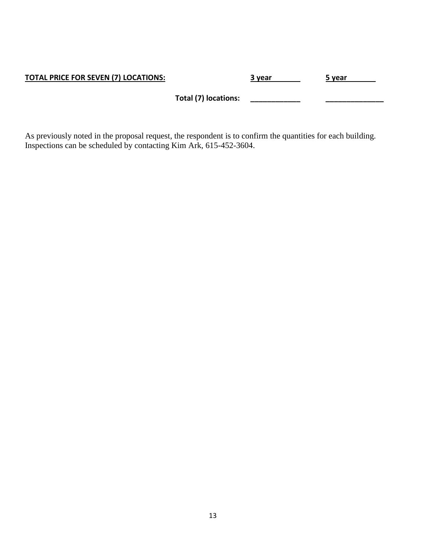| <b>TOTAL PRICE FOR SEVEN (7) LOCATIONS:</b> |                      | 3 year | 5 year |
|---------------------------------------------|----------------------|--------|--------|
|                                             | Total (7) locations: |        |        |

As previously noted in the proposal request, the respondent is to confirm the quantities for each building. Inspections can be scheduled by contacting Kim Ark, 615-452-3604.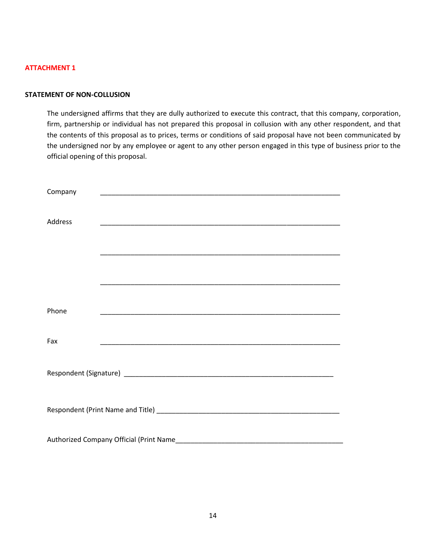#### **STATEMENT OF NON-COLLUSION**

The undersigned affirms that they are dully authorized to execute this contract, that this company, corporation, firm, partnership or individual has not prepared this proposal in collusion with any other respondent, and that the contents of this proposal as to prices, terms or conditions of said proposal have not been communicated by the undersigned nor by any employee or agent to any other person engaged in this type of business prior to the official opening of this proposal.

| Company        |                                         |                                                                                                                       |  |  |
|----------------|-----------------------------------------|-----------------------------------------------------------------------------------------------------------------------|--|--|
|                |                                         |                                                                                                                       |  |  |
| <b>Address</b> |                                         |                                                                                                                       |  |  |
|                |                                         |                                                                                                                       |  |  |
|                |                                         |                                                                                                                       |  |  |
|                |                                         |                                                                                                                       |  |  |
|                |                                         |                                                                                                                       |  |  |
|                |                                         |                                                                                                                       |  |  |
| Phone          |                                         |                                                                                                                       |  |  |
|                |                                         |                                                                                                                       |  |  |
| Fax            |                                         | <u> 1989 - Johann Harry Harry Harry Harry Harry Harry Harry Harry Harry Harry Harry Harry Harry Harry Harry Harry</u> |  |  |
|                |                                         |                                                                                                                       |  |  |
|                |                                         |                                                                                                                       |  |  |
|                |                                         |                                                                                                                       |  |  |
|                |                                         |                                                                                                                       |  |  |
|                |                                         |                                                                                                                       |  |  |
|                |                                         |                                                                                                                       |  |  |
|                | Authorized Company Official (Print Name |                                                                                                                       |  |  |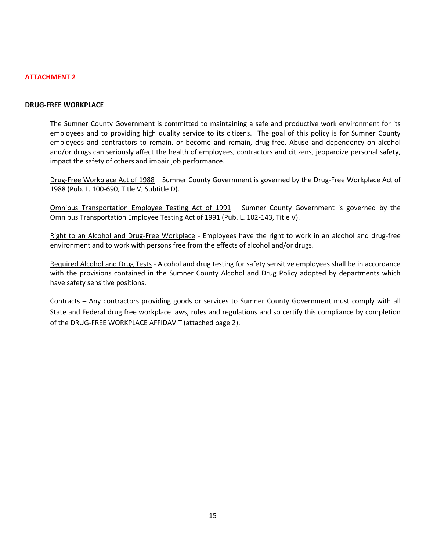#### **DRUG-FREE WORKPLACE**

The Sumner County Government is committed to maintaining a safe and productive work environment for its employees and to providing high quality service to its citizens. The goal of this policy is for Sumner County employees and contractors to remain, or become and remain, drug-free. Abuse and dependency on alcohol and/or drugs can seriously affect the health of employees, contractors and citizens, jeopardize personal safety, impact the safety of others and impair job performance.

Drug-Free Workplace Act of 1988 – Sumner County Government is governed by the Drug-Free Workplace Act of 1988 (Pub. L. 100-690, Title V, Subtitle D).

Omnibus Transportation Employee Testing Act of 1991 – Sumner County Government is governed by the Omnibus Transportation Employee Testing Act of 1991 (Pub. L. 102-143, Title V).

Right to an Alcohol and Drug-Free Workplace - Employees have the right to work in an alcohol and drug-free environment and to work with persons free from the effects of alcohol and/or drugs.

Required Alcohol and Drug Tests - Alcohol and drug testing for safety sensitive employees shall be in accordance with the provisions contained in the Sumner County Alcohol and Drug Policy adopted by departments which have safety sensitive positions.

Contracts – Any contractors providing goods or services to Sumner County Government must comply with all State and Federal drug free workplace laws, rules and regulations and so certify this compliance by completion of the DRUG-FREE WORKPLACE AFFIDAVIT (attached page 2).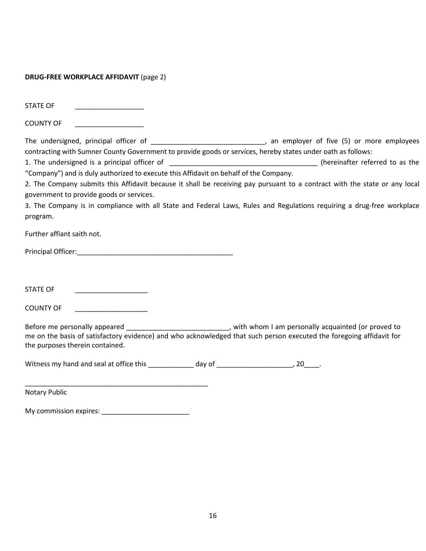#### **DRUG-FREE WORKPLACE AFFIDAVIT** (page 2)

STATE OF

COUNTY OF

The undersigned, principal officer of \_\_\_\_\_\_\_\_\_\_\_\_\_\_\_\_\_\_\_\_\_\_\_\_\_\_\_\_\_\_\_, an employer of five (5) or more employees contracting with Sumner County Government to provide goods or services, hereby states under oath as follows:

1. The undersigned is a principal officer of \_\_\_\_\_\_\_\_\_\_\_\_\_\_\_\_\_\_\_\_\_\_\_\_\_\_\_\_\_\_\_\_\_\_\_\_\_\_\_ (hereinafter referred to as the "Company") and is duly authorized to execute this Affidavit on behalf of the Company.

2. The Company submits this Affidavit because it shall be receiving pay pursuant to a contract with the state or any local government to provide goods or services.

3. The Company is in compliance with all State and Federal Laws, Rules and Regulations requiring a drug-free workplace program.

Further affiant saith not.

Principal Officer:\_\_\_\_\_\_\_\_\_\_\_\_\_\_\_\_\_\_\_\_\_\_\_\_\_\_\_\_\_\_\_\_\_\_\_\_\_\_\_\_\_

STATE OF **Example 20** 

COUNTY OF

Before me personally appeared \_\_\_\_\_\_\_\_\_\_\_\_\_\_\_\_\_\_\_\_\_\_\_\_\_\_\_\_, with whom I am personally acquainted (or proved to me on the basis of satisfactory evidence) and who acknowledged that such person executed the foregoing affidavit for the purposes therein contained.

Witness my hand and seal at office this day of the same search of the set of the search of the search of the se

Notary Public

| My commission expires: |  |
|------------------------|--|
|                        |  |

\_\_\_\_\_\_\_\_\_\_\_\_\_\_\_\_\_\_\_\_\_\_\_\_\_\_\_\_\_\_\_\_\_\_\_\_\_\_\_\_\_\_\_\_\_\_\_\_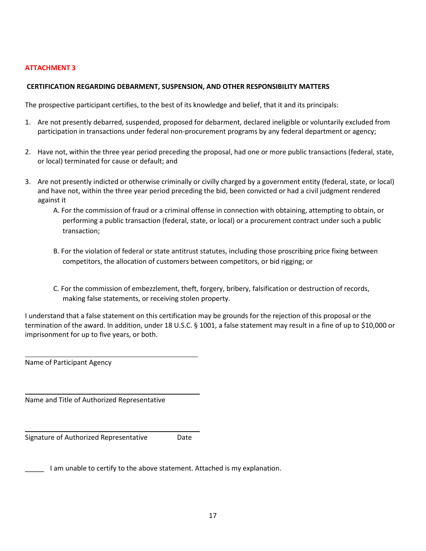#### **CERTIFICATION REGARDING DEBARMENT, SUSPENSION, AND OTHER RESPONSIBILITY MATTERS**

The prospective participant certifies, to the best of its knowledge and belief, that it and its principals:

- 1. Are not presently debarred, suspended, proposed for debarment, declared ineligible or voluntarily excluded from participation in transactions under federal non-procurement programs by any federal department or agency;
- 2. Have not, within the three year period preceding the proposal, had one or more public transactions (federal, state, or local) terminated for cause or default; and
- 3. Are not presently indicted or otherwise criminally or civilly charged by a government entity (federal, state, or local) and have not, within the three year period preceding the bid, been convicted or had a civil judgment rendered against it
	- A. For the commission of fraud or a criminal offense in connection with obtaining, attempting to obtain, or performing a public transaction (federal, state, or local) or a procurement contract under such a public transaction;
	- B. For the violation of federal or state antitrust statutes, including those proscribing price fixing between competitors, the allocation of customers between competitors, or bid rigging; or
	- C. For the commission of embezzlement, theft, forgery, bribery, falsification or destruction of records, making false statements, or receiving stolen property.

I understand that a false statement on this certification may be grounds for the rejection of this proposal or the termination of the award. In addition, under 18 U.S.C. § 1001, a false statement may result in a fine of up to \$10,000 or imprisonment for up to five years, or both.

Name of Participant Agency

 $\overline{\phantom{0}}$ 

 $\overline{\phantom{0}}$ 

L

Name and Title of Authorized Representative

Signature of Authorized Representative Date

I am unable to certify to the above statement. Attached is my explanation.